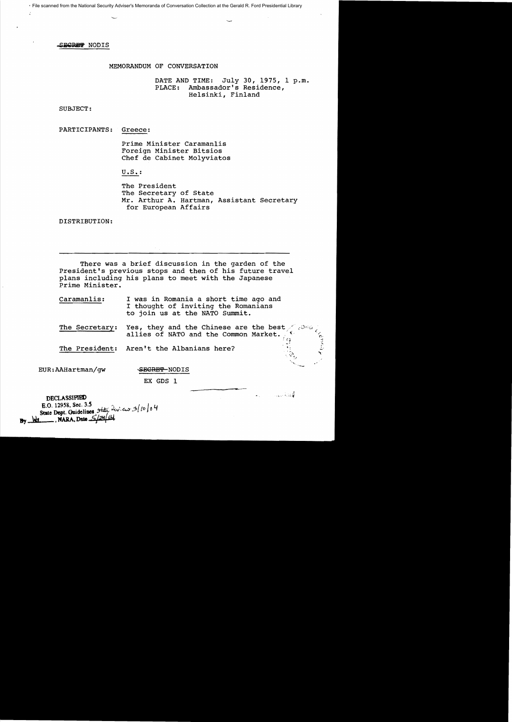File scanned from the National Security Adviser's Memoranda of Conversation Collection at the Gerald R. Ford Presidential Library

SECRET NODIS

# MEMORANDUM OF CONVERSATION

DATE AND TIME: July 30, 1975, 1 p.m. PLACE: Ambassador's Residence, Helsinki, Finland

SUBJECT:

PARTICIPANTS: Greece:

> Prime Minister Caraman1is Foreign Minister Bitsios Chef de Cabinet Molyviatos

U. S. :

The President The Secretary of State Mr. Arthur A. Hartman, Assistant Secretary for European Affairs

DISTRIBUTION:

There *was* a brief discussion in the garden of the President's previous stops and then of his future travel plans including his plans to meet with the Japanese Prime Minister.

Caraman1is: I was in Romania a short time ago and I thought of inviting the Romanians to join us at the NATO Summit.

The Secretary: Yes, they and the Chinese are the best *for* allies of NATO and the Common Market.

an Albert

The President: Aren't the Albanians here?

EUR: AAHartman/gw SECRET-NODIS

EX GDS 1

DECLASSIFIED E.O. 12958, Sec. 3.5 E.O. 12958, Sec. 3.5<br>State Dept. Guidelines State 2w. aw 3/10/04  $\frac{1}{\sqrt{24}}$ , NARA, Date  $\frac{5}{24}$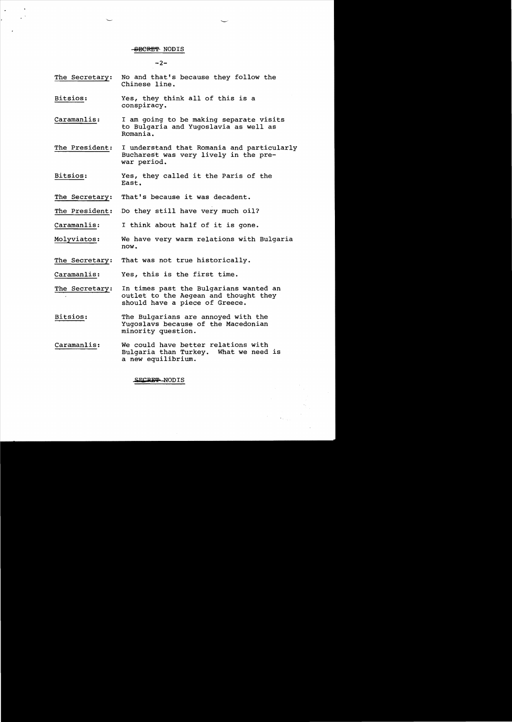## SEGRET NODIS

 $-2-$ 

- The Secretary: No and that's because they follow the Chinese line.
- Bitsios: Yes, they think all of this is a conspiracy.
- Caramanlis: I am going to be making separate visits to Bulgaria and Yugoslavia as well as Romania.
- The President: I understand that Romania and particularly Bucharest was very lively in the prewar period.
- Bitsios: Yes, they called it the Paris of the East.
- The Secretary: That's because it was decadent.
- The President: Do they still have very much oil?
- Caramanlis: I think about half of it is gone.
- Molyviatos: We have very warm relations with Bulgaria now.
- The Secretary: That was not true historically.
- Caramanlis: Yes, this is the first time.

The Secretary: In times past the Bulgarians wanted an outlet to the Aegean and thought they should have a piece of Greece.

- Bitsios: The Bulgarians are annoyed with the Yugoslavs because of the Macedonian minority question.
- Caramanlis: We could have better relations with Bulgaria than Turkey. What we need is a new equilibrium.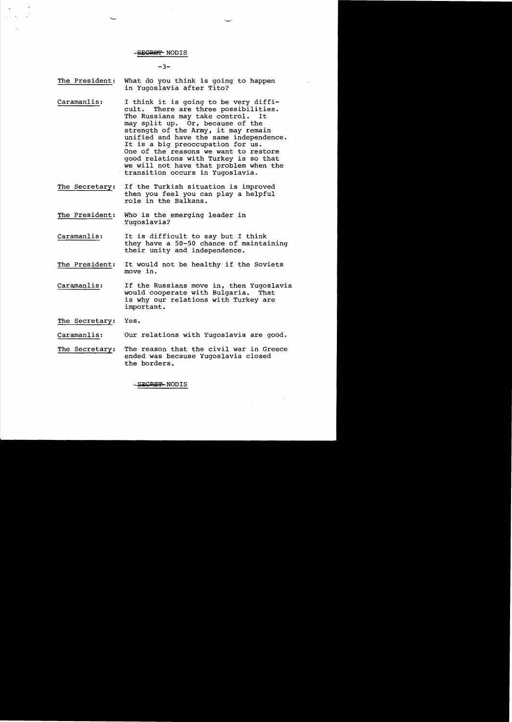# -SECRET-NODIS

## $-3-$

- The President: What do you think is going to happen in Yugoslavia after Tito?
- Caramanlis: I think it is going to be very diffi-<br>cult. There are three possibilities. There are three possibilities.<br>sians may take control. It The Russians may take control. may split up. Or, because of the strength of the Army, it may remain unified and have the same independence. It is a big preoccupation for us. One of the reasons we want to restore good relations with Turkey is so that we will not have that problem when the transition occurs in Yugoslavia.
- The Secretary: If the Turkish situation is improved then you feel you can play a helpful role in the Balkans.
- The President: Who is the emerging leader in Yugoslavia?
- Caramanlis: It is difficult to say but I think they have a 50-50 chance of maintaining their unity and independence.
- The President: It would not be healthy if the Soviets move in.
- Caramanlis: If the Russians move in, then Yugoslavia<br>would cooperate with Bulgaria. That would cooperate with Bulgaria. is why our relations with Turkey are important.

The Secretary: Yes.

Caramanlis: Our relations with Yugoslavia are good.

The Secretary: The reason that the civil war in Greece ended was because Yugoslavia closed the borders.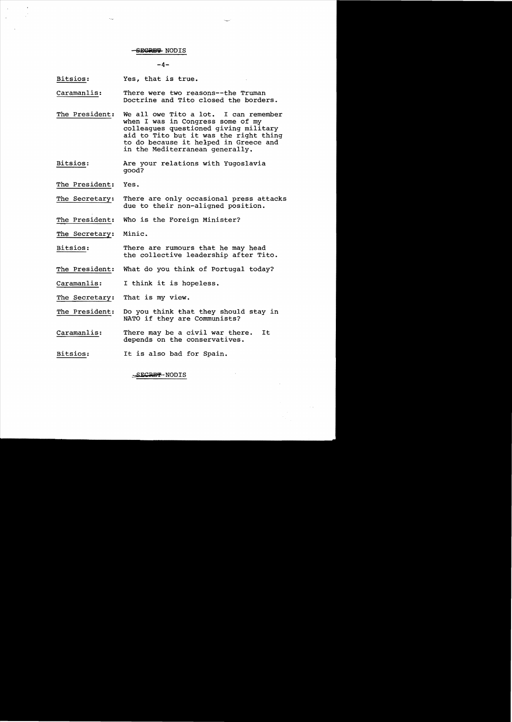$-4-$ 

Bitsios: Yes, that is true.

- Caramanlis: There were two reasons--the Truman Doctrine and Tito closed the borders.
- The President: We all owe Tito a lot. I can remember when I was in Congress some of my colleagues questioned giving military aid to Tito but it was the right thing to do because it helped in Greece and in the Mediterranean generally.
- Bitsios: Are your relations with Yugoslavia good?
- The President; Yes.
- The Secretary: There are only occasional press attacks due to their non-aligned position.
- The President: Who is the Foreign Minister?

The Secretary: Minic.

Bitsios: There are rumours that he may head the collective leadership after Tito.

- The President: What do you think of Portugal today?
- Caramanlis: I think it is hopeless.

The Secretary; That is my view.

- The President: Do you think that they should stay in NATO if they are Communists?
- Caramanlis: There may be a civil war there. It depends on the conservatives.
- Bitsios: It is also bad for Spain.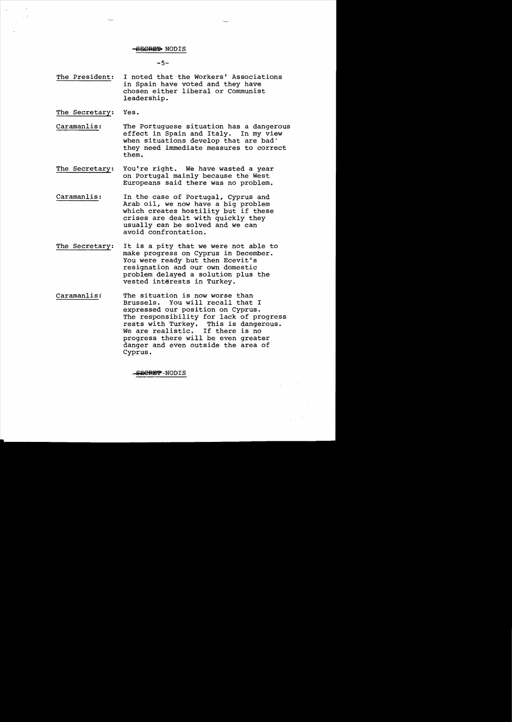### <del>SECRET</del> NODIS

 $-5-$ 

The President: I noted that the Workers' Associations in Spain have voted and they have chosen either liberal or Communist leadership.

The Secretary: Yes.

- Caramanlis: The Portuguese situation has a dangerous effect in Spain and Italy. In my view when situations develop that are bad' they need immediate measures to correct them.
- The Secretary: You're right. We have wasted a year on Portugal mainly because the West Europeans said there was no problem.
- Caramanlis: In the case of Portugal, Cyprus and Arab oil, we now have a big problem which creates hostility but if these crises are dealt with quickly they usually can be solved and we can avoid confrontation.
- The Secretary: It is a pity that we were not able to make progress on Cyprus in December. You were ready but then Ecevit's resignation and our own domestic problem delayed a solution plus the vested interests in Turkey.
- Caramanlis: The situation is now worse than Brussels. You will recall that I expressed our position on Cyprus. The responsibility for lack of progress rests with Turkey. This is dangerous. We are realistic. If there is no progress there will be even greater danger and even outside the area of Cyprus.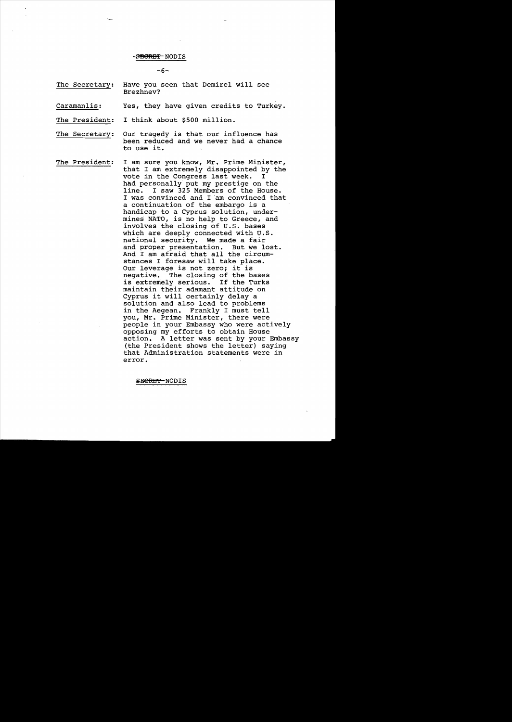## $-$ **BEGRET** NODIS

 $-6-$ 

- The Secretary: Have you seen that Demirel will see Brezhnev?
- Caramanlis: Yes, they have given credits to Turkey.

The President: I think about \$500 million.

- The Secretary: Our tragedy is that our influence has been reduced and we never had a chance to use it.
- The President: I am sure you know, Mr. Prime Minister, that I am extremely disappointed by the<br>vote in the Congress last week. I vote in the Congress last week. had personally put my prestige on the<br>line. I saw 325 Members of the House I saw 325 Members of the House. I was convinced and I 'am convinced that a continuation of the embargo is a handicap to a Cyprus solution, undermines NATO, is no help to Greece, and involves the closing of U.S. bases which are deeply connected with U.S.<br>national security. We made a fair national security. We made a fair<br>and proper presentation. But we lost. and proper presentation. And I am afraid that all the circumstances I foresaw will take place. Our leverage is not zero; it is<br>negative. The closing of the b The closing of the bases is extremely serious. If the Turks maintain their adamant attitude on Cyprus it will certainly delay a solution and also lead to problems in the Aegean. Frankly I must tell you, Mr. Prime Minister, there were people in your Embassy who were actively opposing my efforts to obtain House action. A letter was sent by your Embassy (the President shows the letter) saying that Administration statements were in error.

SBERET-NODIS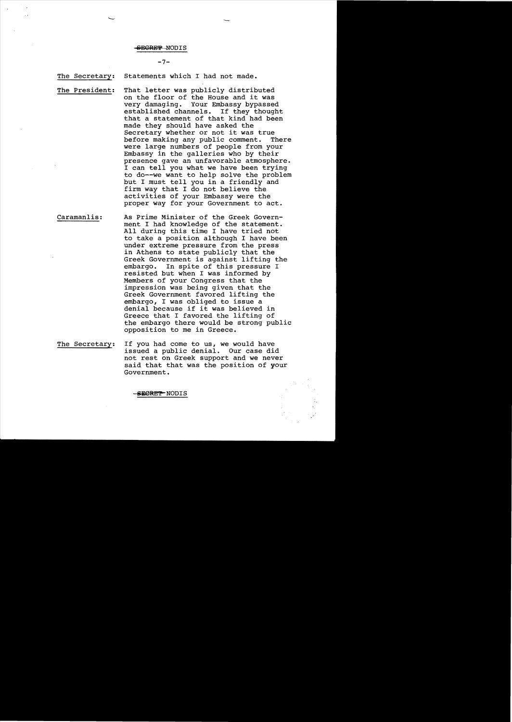# $-7-$

The Secretary: Statements which I had not made.

The President:

That letter was publicly distributed on the floor of the House and it was very damaging. Your Embassy bypassed established channels. If they thought that a statement of that kind had been made they should have asked the Secretary whether or not it was true before making any public comment. There were large numbers of people from your Embassy in the galleries who by their presence gave an unfavorable atmosphere. I can tell you what we have been trying to do--we want to help solve the problem but I must tell you in a friendly and firm way that I do not believe the activities of your Embassy were the proper way for your Government to act.

Caramanlis: As Prime Minister of the Greek Government I had knowledge of the statement. All during this time I have tried not to take a position although I have been under extreme pressure from the press in Athens to state publicly that the Greek Government is against lifting the<br>embargo. In spite of this pressure I In spite of this pressure I resisted but when I was informed by Members of your Congress that the impression was being given that the Greek Government favored lifting the embargo, I was obliged to issue a denial because if it was believed in Greece that I favored the lifting of the embargo there would be strong public opposition to me in Greece.

The Secretary: If you had come to us, we would have issued a public denial. Our case did not rest on Greek support and we never said that that was the position of your Government.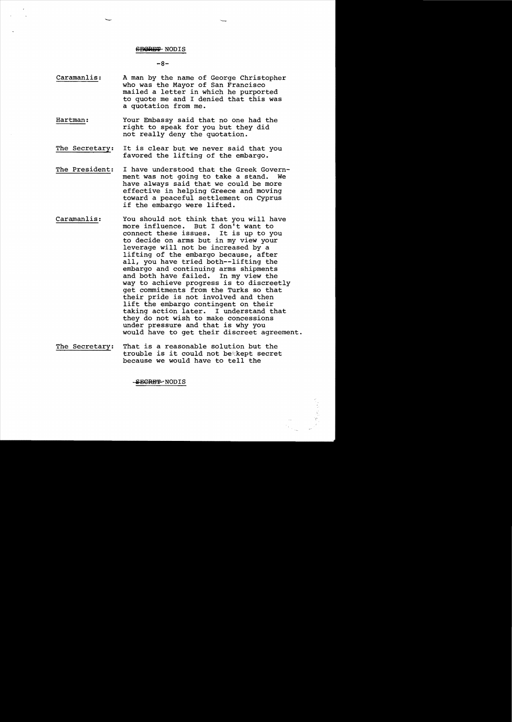$-8-$ 

- Caramanlis: A man by the name of George Christopher who was the Mayor of San Francisco mailed a letter *in* which he purported to quote me and I denied that this was a quotation from me.
- Hartman: Your Embassy said that no one had the right to speak for you but they did not really deny the quotation.
- The Secretary: It *is* clear but we never said that you favored the lifting of the embargo.
- The President: I have understood that the Greek Government was not going to take a stand. have always said that we could be more effective *in* helping Greece and *moving*  toward a peaceful settlement on Cyprus *if* the embargo were lifted.
- Caramanlis: You should not think that you will have more influence. But I don't want to connect these issues. It *is* up to you to decide on arms but *in* my *view* your leverage will not be increased by a lifting of the embargo because, after all, you have tried both--lifting the embargo and continuing arms shipments<br>and both have failed. In my view the and both have failed. way to achieve progress *is* to discreetly get commitments from the Turks so that their pride *is* not involved and then lift the embargo contingent on their taking action later. I understand that they do not wish to make *concessions*  under pressure and that *is* why you would have to get their discreet agreement.
- The Secretary: That *is* a reasonable solution but the trouble is it could not be kept secret because we would have to tell the

-SECRET-NODIS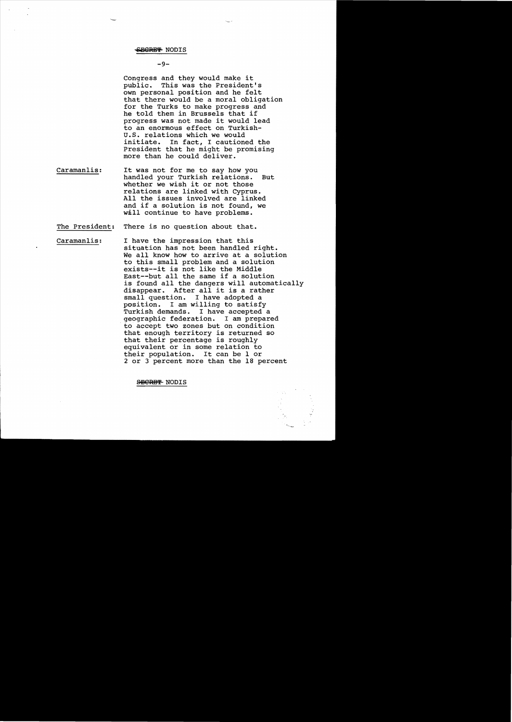# $-9-$

Congress and they would make it<br>public. This was the President This was the President's own personal position and he felt that there would be a moral obligation for the Turks to make progress and he told them in Brussels that if progress was not made it would lead to an enormous effect on Turkish-U.S. relations which we would<br>initiate. In fact. I caution In fact, I cautioned the President that he might be promising more than he could deliver.

- Caramanlis: It was not for me to say how you handled your Turkish relations. But whether we wish it or not those relations are linked with Cyprus. All the issues involved are linked and if a solution is not found, we will continue to have problems.
- The President: There is no question about that.
- Caramanlis: I have the impression that this situation has not been handled right. We all know how to arrive at a solution to this small problem and a solution exists--it is not like the Middle East--but all the same if a solution is found all the dangers will automatically disappear. After all it is a rather small question. I have adopted a pesition. I am willing to satisfy Turkish demands. I have accepted a geographic federation. I am prepared to accept two zones but on condition that enough territory is returned so that their percentage is roughly equivalent or in some relation to their population. It can be 1 or 2 or 3 percent more than the 18 percent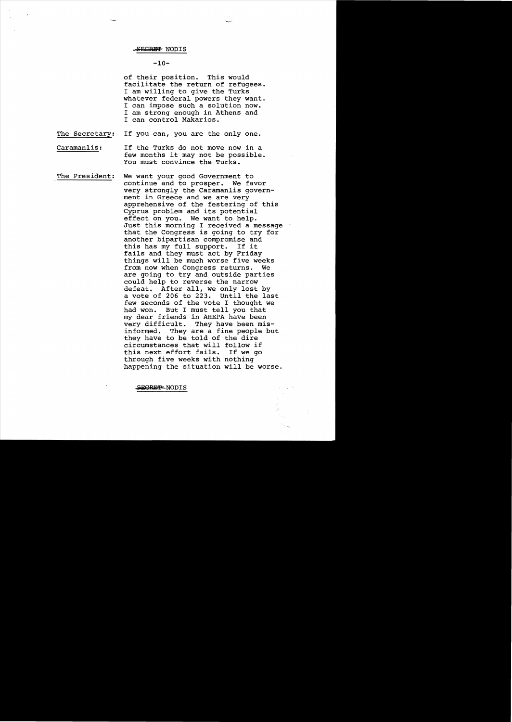# $-10-$

of their position. This would facilitate the return of refugees. I am willing to give the Turks whatever federal powers they want. I can impose such a solution now. I am strong enough in Athens and I can control Makarios.

The Secretary: If you can, you are the only one.

Caramanlis: If the Turks do not move now in a few months it may not be possible. You must convince the Turks.

The President: We want your good Government to continue and to prosper. We favor very strongly the Caramanlis govern ment in Greece and we are very apprehensive of the festering of this Cyprus problem and its potential effect on you. We want to help. Just this morning I received a message that the Congress is going to try for another bipartisan compromise and this has my full support. If it fails and they must act by Friday things will be much worse five weeks from now when Congress returns. We are going to try and outside parties could help to reverse the narrow defeat. After all, we only lost by a vote of 206 to 223. until the last few seconds of the vote I thought we had won. But I must tell you that my dear friends in AHEPA have been why dear friends in number have been<br>very difficult. They have been misinformed. They are a fine people but they have to be told of the dire circumstances that will follow if this next effort fails. If we go through five weeks with nothing happening the situation will be worse.

SEGREP-NODIS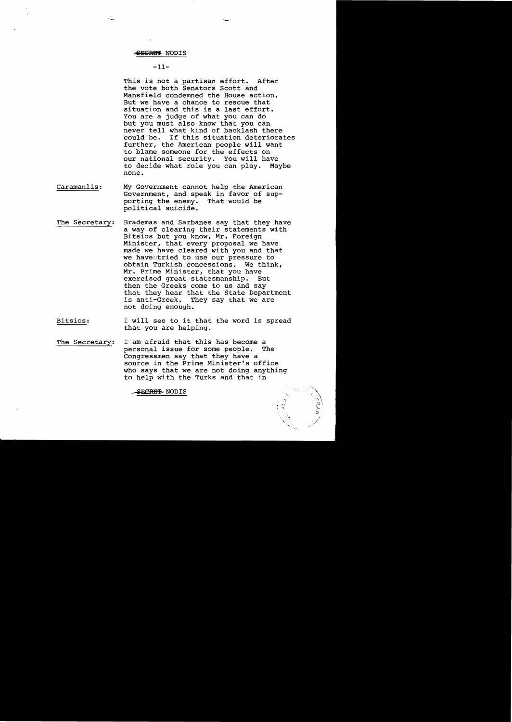## <del>SECRET</del> NODIS

# $-11-$

This is not a partisan effort. After the vote both Senators Scott and Mansfield condemned the House action. But we have a chance to rescue that situation and this is a last effort. You are a judge of what you can do but you must also know that you can never tell what kind of backlash there<br>could be. If this situation deteriora If this situation deteriorates further, the American people will want to blame someone for the effects on our national security. You will have to decide what role you can play. Maybe none.

- Caramanlis: My Government cannot help the American Government, and speak in favor of supporting the enemy. That would be political suicide.
- The Secretary: Brademas and Sarbanes say that they have a way of clearing their statements with Bitsios but you know, Mr. Foreign Minister, that every proposal we have made we have cleared with you and that we haveetried to use our pressure to obtain Turkish concessions. We think, Mr. Prime Minister, that you have exercised great statesmanship. But then the Greeks come to us and say that they hear that the State Department is anti-Greek. They say that we are not doing enough.
- Bitsios: I will see to it that the word is spread that you are helping.
- The Secretary: I am afraid that this has become a<br>personal issue for some people. The personal issue for some people. Congressmen say that they have a source in the Prime Minister's office who says that we are not doing anything to help with the Turks and that in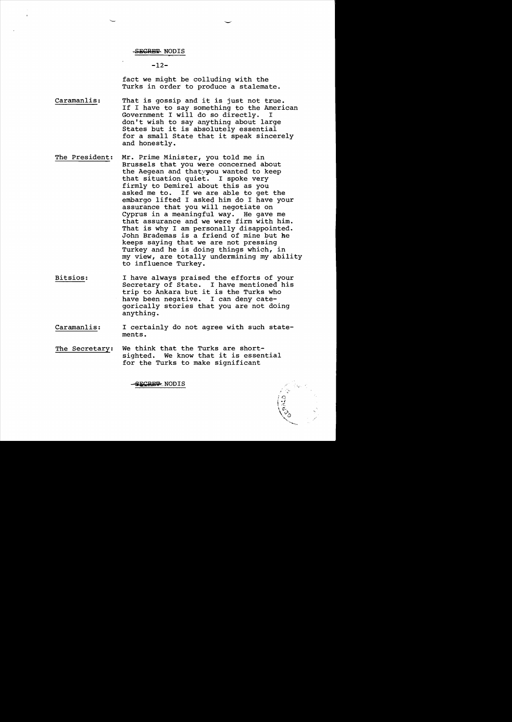# $-12-$

fact we might be colluding with the Turks in order to produce a stalemate.

- Caramanlis: That is gossip and it is just not true. If I have to say something to the American Government I will do so directly. I don't wish to say anything about large States but it is absolutely essential for a small State that it speak sincerely and honestly.
- The President: Mr. Prime Minister, you told me in Brussels that you were concerned about the Aegean and thatyyou wanted to keep that situation quiet. I spoke very firmly to Demirel about this as you asked me to. If we are able to get the embargo lifted I aske4 him do I have your assurance that you will negotiate on Cyprus in a meaningful way. He gave me that assurance and we were firm with him. That is why I am personally disappointed. John Brademas is a friend of mine but he keeps saying that we are not pressing Turkey and he is doing things which, in my view, are totally undermining my ability to influence Turkey.
- Bitsios: I have always praised the efforts of your Secretary of State. I have mentioned his trip to Ankara but it is the Turks who have been negative. I can deny categorically stories that you are not doing anything.
- Caramanlis: I certainly do not agree with such statements.

.,~

The Secretary: We think that the Turks are shortsighted. We know that it is essential for the Turks to make significant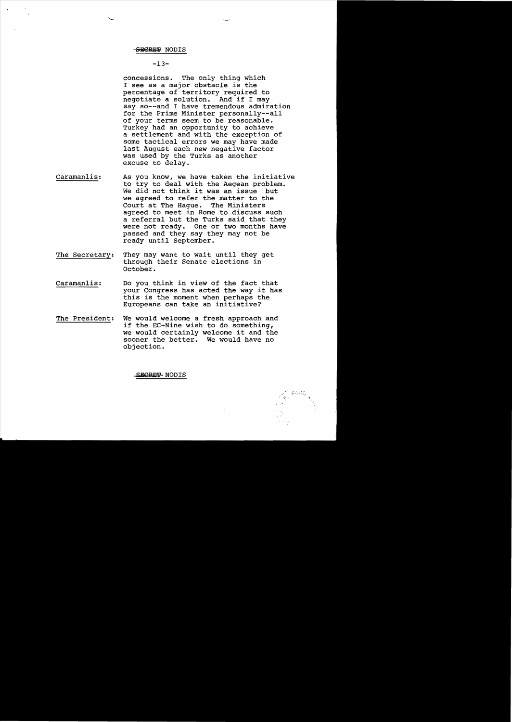# $-13-$

concessions. The only thing which I see as a major obstacle is the percentage of territory required to negotiate a solution. And if I may say so--and I have tremendous admiration for the Prime Minister persona11y--a11 of your terms seem to be reasonable. Turkey had an opportnnity to achieve a settlement and with the exception of some tactical errors we may have made last August each new negative factor was used by the Turks as another excuse to delay.

- Caramanlis: As you know, we have taken the initiative to try to deal with the Aegean problem. We did not think it was an issue but we agreed to refer the matter to the<br>Court at The Haque. The Ministers Court at The Haque. agreed to meet in Rome to discuss such a referral but the Turks said that they were not ready. One or two months have passed and they say they may not be ready until September.
- The Secretary: They may want to wait until they get through their Senate elections in October.
- Caraman1is: Do you think in view of the fact that your Congress has acted the way it has this is the moment when perhaps the Europeans can take an initiative?
- The President: We would welcome a fresh approach and if the EC-Nine wish to do something, we would certainly welcome it and the sooner the better. We would have no objection.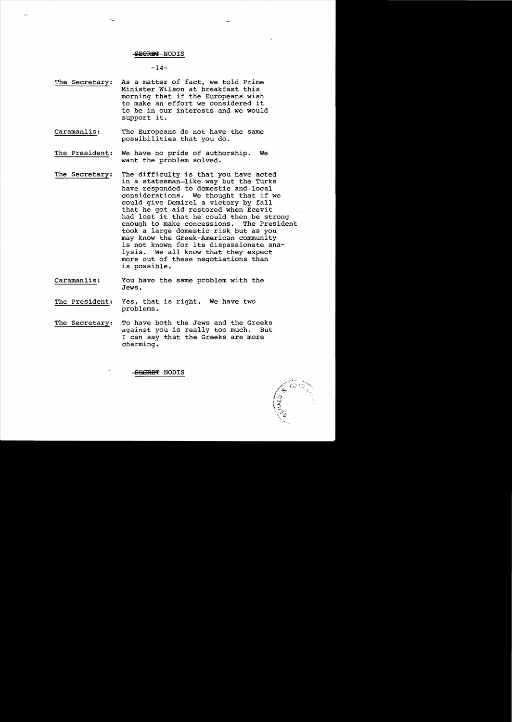### SECRET-NODIS

### $-14-$

- The Secretary: As a matter of fact, we told Prime Minister Wilson at breakfast this morning that if the Europeans wish to make an effort we considered it to be in our interests and we would support it.
- Caraman1is: The Europeans do not have the same possibilities that you do.
- The President: We have no pride of authorship. We want the problem solved.
- The Secretary: The difficulty is that you have acted in a statesman-like way but the Turks have responded to domestic and· local considerations. We thought that if we could give Demire1 a victory by fall that he got aid restored when Ecevit had lost it that he could then be strong<br>enough to make concessions. The President enough to make concessions. took a large domestic risk but as you may know the Greek-American community is not known for its dispassionate ana-<br>lysis. We all know that they expect We all know that they expect more out of these negotiations than is possible.
- Caraman1is: You have the same problem with the Jews.
- The President: Yes, that is right. We have two problems.
- The Secretary: To have both the Jews and the Greeks against you is really too much. But I can say that the Greeks are more charming.

SBCRBT NODIS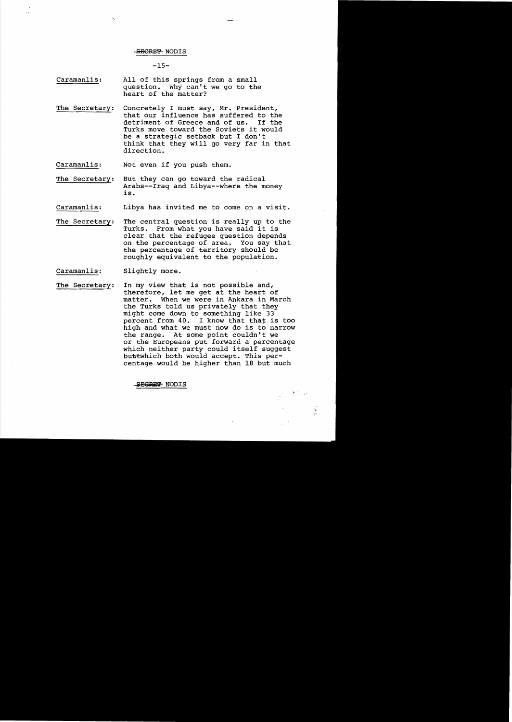## -SECRET NODIS

## $-15-$

- Caramanlis: All of this springs from a small question. Why can't we go to the heart of the matter?
- The Secretary: Concretely I must say, Mr. President, that our influence has suffered to the detriment of Greece and of us. If the Turks move toward the Soviets it would be a strategic setback but I don't think that they will go very far in that direction.
- Caraman1is: Not even if you push them.
- The Secretary: But they can go toward the radical Arabs--Iraq and Libya--where the money is.
- Caraman1is: Libya has invited me to come on a visit.
- The Secretary: The central question is really up to the Turks. From what you have said it is clear that the refugee question depends on the percentage of area. You say that the percentage of territory should be roughly equivalent to the population.
- Caraman1is: Slightly more.
- The Secretary: In my view that is not possible and, therefore, let me get at the heart of matter. When we were in Ankara in March the Turks told us privately that they might come down to something like 33 percent from  $40$ . I know that that is too high and what we must now do is to narrow the range. At some point couldn't we or the Europeans put forward a percentage which neither party could itself suggest buttwhich both would accept. This percentage would be higher than 18 but much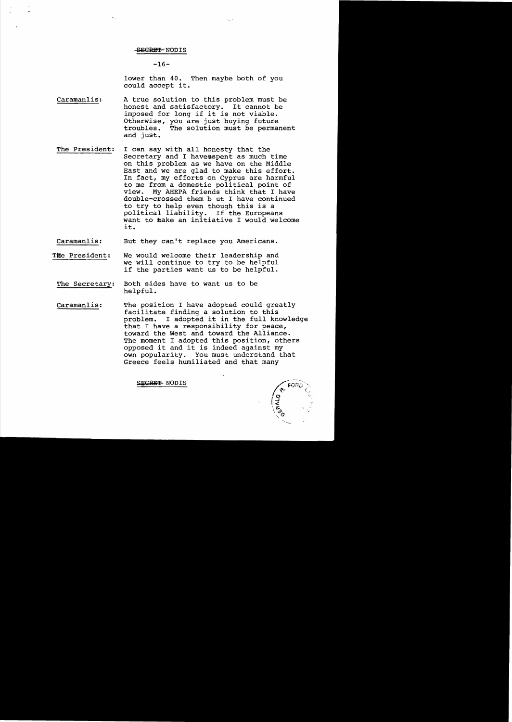$-16-$ 

lower than 40. Then maybe both of you could accept it.

- Caramanlis: A true solution to this problem must be<br>honest and satisfactory. It cannot be honest and satisfactory. imposed for long if it is not viable. Otherwise, you are just buying future<br>troubles. The solution must be perman The solution must be permanent and just.
- The President: I can say with all honesty that the Secretary and I haveaspent as much time on this problem as we have on the Middle East and we are glad to make this effort. In fact, my efforts on Cyprus are harmful to me from a domestic political point of view. My AHEPA friends think that I have double-crossed them b ut I have continued to try to help even though this is a political liability. If the Europeans want to make an initiative I would welcome it.

Caramanlis: But they can't replace you Americans.

- The President: We would welcome their leadership and we will continue to try to be helpful if the parties want us to be helpful.
	- The Secretary: Both sides have to want us to be helpful.
	- Caramanlis: The position I have adopted could greatly facilitate finding a solution to this problem. I adopted it in the full knowledge that I have a responsibility for peace, toward the West and toward the Alliance. The moment I adopted this position, others opposed it and it is indeed against my own popularity. You must understand that Greece feels humiliated and that many